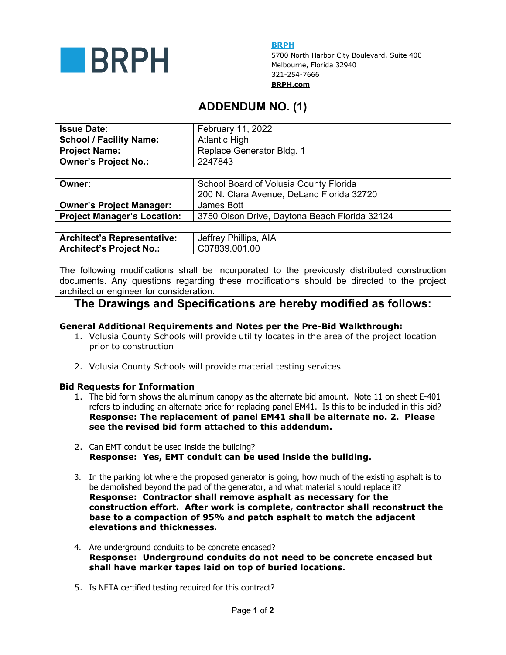

**BRPH** 

5700 North Harbor City Boulevard, Suite 400 Melbourne, Florida 32940 321-254-7666 **BRPH.com**

# **ADDENDUM NO. (1)**

| <b>Issue Date:</b>             | February 11, 2022         |  |
|--------------------------------|---------------------------|--|
| <b>School / Facility Name:</b> | Atlantic High             |  |
| Project Name:                  | Replace Generator Bldg. 1 |  |
| <b>Owner's Project No.:</b>    | 2247843                   |  |

| Owner:                          | School Board of Volusia County Florida<br>200 N. Clara Avenue, DeLand Florida 32720 |  |
|---------------------------------|-------------------------------------------------------------------------------------|--|
| <b>Owner's Project Manager:</b> | James Bott                                                                          |  |
| Project Manager's Location:     | 3750 Olson Drive, Daytona Beach Florida 32124                                       |  |

| <b>Architect's Representative:</b> | Jeffrey Phillips, AIA |  |
|------------------------------------|-----------------------|--|
| <b>Architect's Project No.:</b>    | C07839.001.00         |  |

The following modifications shall be incorporated to the previously distributed construction documents. Any questions regarding these modifications should be directed to the project architect or engineer for consideration.

# **The Drawings and Specifications are hereby modified as follows:**

## **General Additional Requirements and Notes per the Pre-Bid Walkthrough:**

- 1. Volusia County Schools will provide utility locates in the area of the project location prior to construction
- 2. Volusia County Schools will provide material testing services

## **Bid Requests for Information**

- 1. The bid form shows the aluminum canopy as the alternate bid amount. Note 11 on sheet E-401 refers to including an alternate price for replacing panel EM41. Is this to be included in this bid? **Response: The replacement of panel EM41 shall be alternate no. 2. Please see the revised bid form attached to this addendum.**
- 2. Can EMT conduit be used inside the building? **Response: Yes, EMT conduit can be used inside the building.**
- 3. In the parking lot where the proposed generator is going, how much of the existing asphalt is to be demolished beyond the pad of the generator, and what material should replace it? **Response: Contractor shall remove asphalt as necessary for the construction effort. After work is complete, contractor shall reconstruct the base to a compaction of 95% and patch asphalt to match the adjacent elevations and thicknesses.**
- 4. Are underground conduits to be concrete encased? **Response: Underground conduits do not need to be concrete encased but shall have marker tapes laid on top of buried locations.**
- 5. Is NETA certified testing required for this contract?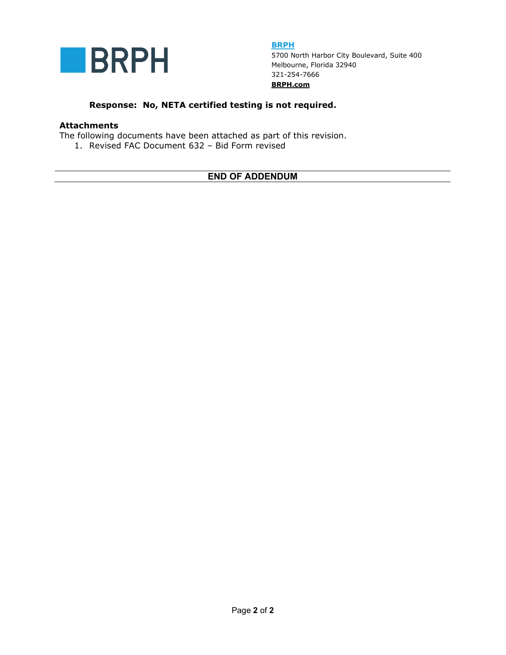

**BRPH**  5700 North Harbor City Boulevard, Suite 400 Melbourne, Florida 32940 321-254-7666 **BRPH.com**

## **Response: No, NETA certified testing is not required.**

### **Attachments**

The following documents have been attached as part of this revision.

1. Revised FAC Document 632 – Bid Form revised

# **END OF ADDENDUM**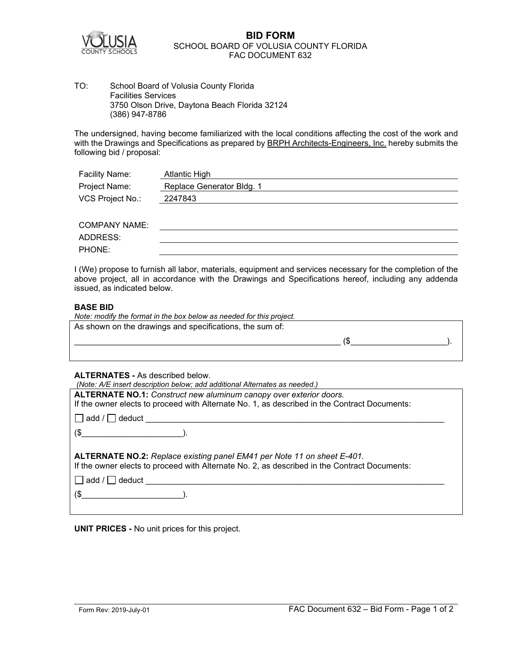

### **BID FORM** SCHOOL BOARD OF VOLUSIA COUNTY FLORIDA FAC DOCUMENT 632

TO: School Board of Volusia County Florida Facilities Services 3750 Olson Drive, Daytona Beach Florida 32124 (386) 947-8786

The undersigned, having become familiarized with the local conditions affecting the cost of the work and with the Drawings and Specifications as prepared by BRPH Architects-Engineers, Inc. hereby submits the following bid / proposal:

| Facility Name:   | Atlantic High             |  |
|------------------|---------------------------|--|
| Project Name:    | Replace Generator Bldg. 1 |  |
| VCS Project No.: | 2247843                   |  |
|                  |                           |  |

| <b>COMPANY NAME:</b> |  |
|----------------------|--|
| ADDRESS:             |  |
| PHONE:               |  |

I (We) propose to furnish all labor, materials, equipment and services necessary for the completion of the above project, all in accordance with the Drawings and Specifications hereof, including any addenda issued, as indicated below.

### **BASE BID**

| Note: modify the format in the box below as needed for this project. |  |  |  |
|----------------------------------------------------------------------|--|--|--|
| As shown on the drawings and specifications, the sum of:             |  |  |  |
|                                                                      |  |  |  |

### **ALTERNATES -** As described below.

| (Note: A/E insert description below; add additional Alternates as needed.)                                     |  |  |  |  |
|----------------------------------------------------------------------------------------------------------------|--|--|--|--|
| ALTERNATE NO.1: Construct new aluminum canopy over exterior doors.                                             |  |  |  |  |
| If the owner elects to proceed with Alternate No. 1, as described in the Contract Documents:                   |  |  |  |  |
| add / codeduct contains and add / codeduct contains a series and add / codeduct contains a series and addeduct |  |  |  |  |
| $\left(\frac{1}{2}\right)$                                                                                     |  |  |  |  |
|                                                                                                                |  |  |  |  |
| ALTERNATE NO.2: Replace existing panel EM41 per Note 11 on sheet E-401.                                        |  |  |  |  |
| If the owner elects to proceed with Alternate No. 2, as described in the Contract Documents:                   |  |  |  |  |
| $\Box$ add / $\Box$ deduct                                                                                     |  |  |  |  |
|                                                                                                                |  |  |  |  |
| $(\$\)$                                                                                                        |  |  |  |  |

**UNIT PRICES -** No unit prices for this project.